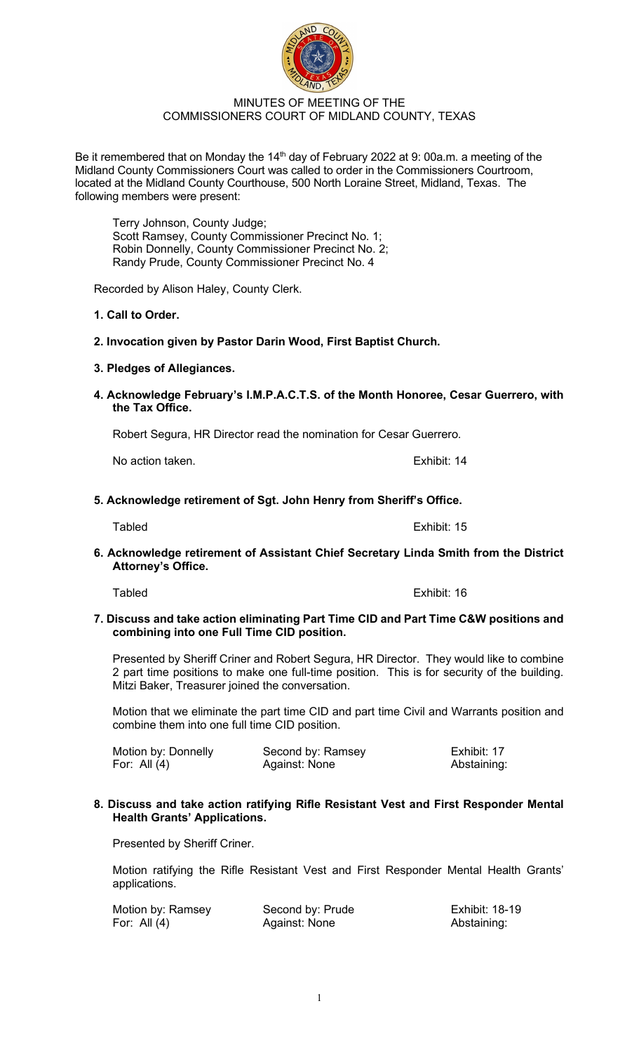# MINUTES OF MEETING OF THE COMMISSIONERS COURT OF MIDLAND COUNTY, TEXAS

Be it remembered that on Monday the 14<sup>th</sup> day of February 2022 at 9: 00a.m. a meeting of the Midland County Commissioners Court was called to order in the Commissioners Courtroom, located at the Midland County Courthouse, 500 North Loraine Street, Midland, Texas. The following members were present:

Terry Johnson, County Judge; Scott Ramsey, County Commissioner Precinct No. 1; Robin Donnelly, County Commissioner Precinct No. 2; Randy Prude, County Commissioner Precinct No. 4

Recorded by Alison Haley, County Clerk.

# **1. Call to Order.**

**2. Invocation given by Pastor Darin Wood, First Baptist Church.** 

# **3. Pledges of Allegiances.**

**4. Acknowledge February's I.M.P.A.C.T.S. of the Month Honoree, Cesar Guerrero, with the Tax Office.** 

Robert Segura, HR Director read the nomination for Cesar Guerrero.

No action taken. The set of the set of the set of the set of the set of the set of the set of the set of the set of the set of the set of the set of the set of the set of the set of the set of the set of the set of the set

# **5. Acknowledge retirement of Sgt. John Henry from Sheriff's Office.**

**6. Acknowledge retirement of Assistant Chief Secretary Linda Smith from the District Attorney's Office.** 

**7. Discuss and take action eliminating Part Time CID and Part Time C&W positions and combining into one Full Time CID position.** 

Presented by Sheriff Criner and Robert Segura, HR Director. They would like to combine 2 part time positions to make one full-time position. This is for security of the building. Mitzi Baker, Treasurer joined the conversation.

Motion that we eliminate the part time CID and part time Civil and Warrants position and combine them into one full time CID position.

| Motion by: Donnelly | Second by: Ramsey | Exhibit: 17 |
|---------------------|-------------------|-------------|
| For: All $(4)$      | Against: None     | Abstaining: |

#### **8. Discuss and take action ratifying Rifle Resistant Vest and First Responder Mental Health Grants' Applications.**

Presented by Sheriff Criner.

Motion ratifying the Rifle Resistant Vest and First Responder Mental Health Grants' applications.

| Motion by: Ramsey | Second by: Prude | <b>Exhibit: 18-19</b> |
|-------------------|------------------|-----------------------|
| For: All $(4)$    | Against: None    | Abstaining:           |

# Tabled Exhibit: 16



Tabled Exhibit: 15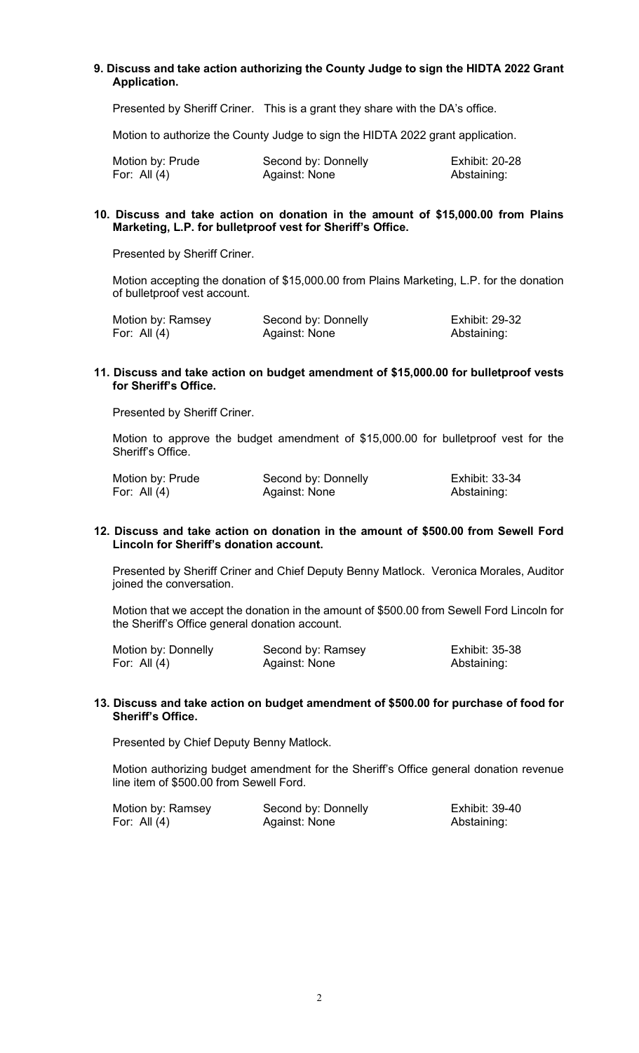## **9. Discuss and take action authorizing the County Judge to sign the HIDTA 2022 Grant Application.**

Presented by Sheriff Criner. This is a grant they share with the DA's office.

Motion to authorize the County Judge to sign the HIDTA 2022 grant application.

| Motion by: Prude | Second by: Donnelly | <b>Exhibit: 20-28</b> |
|------------------|---------------------|-----------------------|
| For: All $(4)$   | Against: None       | Abstaining:           |

## **10. Discuss and take action on donation in the amount of \$15,000.00 from Plains Marketing, L.P. for bulletproof vest for Sheriff's Office.**

Presented by Sheriff Criner.

Motion accepting the donation of \$15,000.00 from Plains Marketing, L.P. for the donation of bulletproof vest account.

| Motion by: Ramsey | Second by: Donnelly | <b>Exhibit: 29-32</b> |
|-------------------|---------------------|-----------------------|
| For: All (4)      | Against: None       | Abstaining:           |

## **11. Discuss and take action on budget amendment of \$15,000.00 for bulletproof vests for Sheriff's Office.**

Presented by Sheriff Criner.

Motion to approve the budget amendment of \$15,000.00 for bulletproof vest for the Sheriff's Office.

| Motion by: Prude | Second by: Donnelly | <b>Exhibit: 33-34</b> |
|------------------|---------------------|-----------------------|
| For: All (4)     | Against: None       | Abstaining:           |

#### **12. Discuss and take action on donation in the amount of \$500.00 from Sewell Ford Lincoln for Sheriff's donation account.**

Presented by Sheriff Criner and Chief Deputy Benny Matlock. Veronica Morales, Auditor joined the conversation.

Motion that we accept the donation in the amount of \$500.00 from Sewell Ford Lincoln for the Sheriff's Office general donation account.

| Motion by: Donnelly | Second by: Ramsey | <b>Exhibit: 35-38</b> |
|---------------------|-------------------|-----------------------|
| For: All $(4)$      | Against: None     | Abstaining:           |

#### **13. Discuss and take action on budget amendment of \$500.00 for purchase of food for Sheriff's Office.**

Presented by Chief Deputy Benny Matlock.

Motion authorizing budget amendment for the Sheriff's Office general donation revenue line item of \$500.00 from Sewell Ford.

| Motion by: Ramsey | Second by: Donnelly | Exhibit: 39-40 |
|-------------------|---------------------|----------------|
| For: All $(4)$    | Against: None       | Abstaining:    |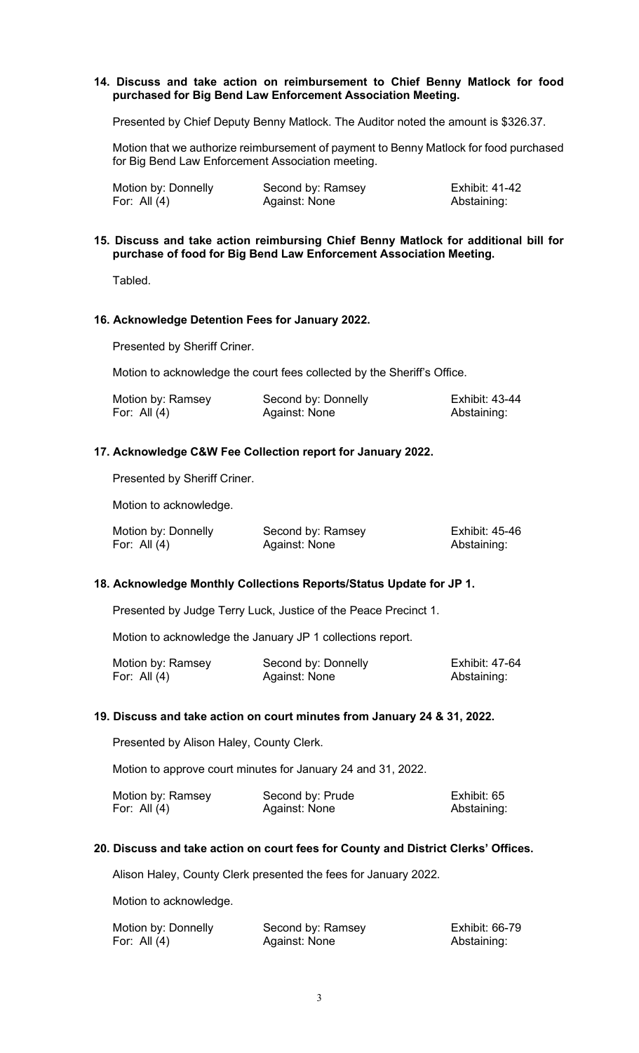## **14. Discuss and take action on reimbursement to Chief Benny Matlock for food purchased for Big Bend Law Enforcement Association Meeting.**

Presented by Chief Deputy Benny Matlock. The Auditor noted the amount is \$326.37.

Motion that we authorize reimbursement of payment to Benny Matlock for food purchased for Big Bend Law Enforcement Association meeting.

| Motion by: Donnelly | Second by: Ramsey | Exhibit: 41-42 |
|---------------------|-------------------|----------------|
| For: All $(4)$      | Against: None     | Abstaining:    |

#### **15. Discuss and take action reimbursing Chief Benny Matlock for additional bill for purchase of food for Big Bend Law Enforcement Association Meeting.**

Tabled.

#### **16. Acknowledge Detention Fees for January 2022.**

Presented by Sheriff Criner.

Motion to acknowledge the court fees collected by the Sheriff's Office.

| Motion by: Ramsey | Second by: Donnelly | <b>Exhibit: 43-44</b> |
|-------------------|---------------------|-----------------------|
| For: All (4)      | Against: None       | Abstaining:           |

#### **17. Acknowledge C&W Fee Collection report for January 2022.**

Presented by Sheriff Criner.

Motion to acknowledge.

| Motion by: Donnelly | Second by: Ramsey | <b>Exhibit: 45-46</b> |
|---------------------|-------------------|-----------------------|
| For: All $(4)$      | Against: None     | Abstaining:           |

#### **18. Acknowledge Monthly Collections Reports/Status Update for JP 1.**

Presented by Judge Terry Luck, Justice of the Peace Precinct 1.

Motion to acknowledge the January JP 1 collections report.

| Motion by: Ramsey | Second by: Donnelly | Exhibit: 47-64 |
|-------------------|---------------------|----------------|
| For: All $(4)$    | Against: None       | Abstaining:    |

#### **19. Discuss and take action on court minutes from January 24 & 31, 2022.**

Presented by Alison Haley, County Clerk.

Motion to approve court minutes for January 24 and 31, 2022.

| Motion by: Ramsey | Second by: Prude | Exhibit: 65 |
|-------------------|------------------|-------------|
| For: All $(4)$    | Against: None    | Abstaining: |

#### **20. Discuss and take action on court fees for County and District Clerks' Offices.**

Alison Haley, County Clerk presented the fees for January 2022.

Motion to acknowledge.

| Motion by: Donnelly | Second by: Ramsey | <b>Exhibit: 66-79</b> |
|---------------------|-------------------|-----------------------|
| For: All $(4)$      | Against: None     | Abstaining:           |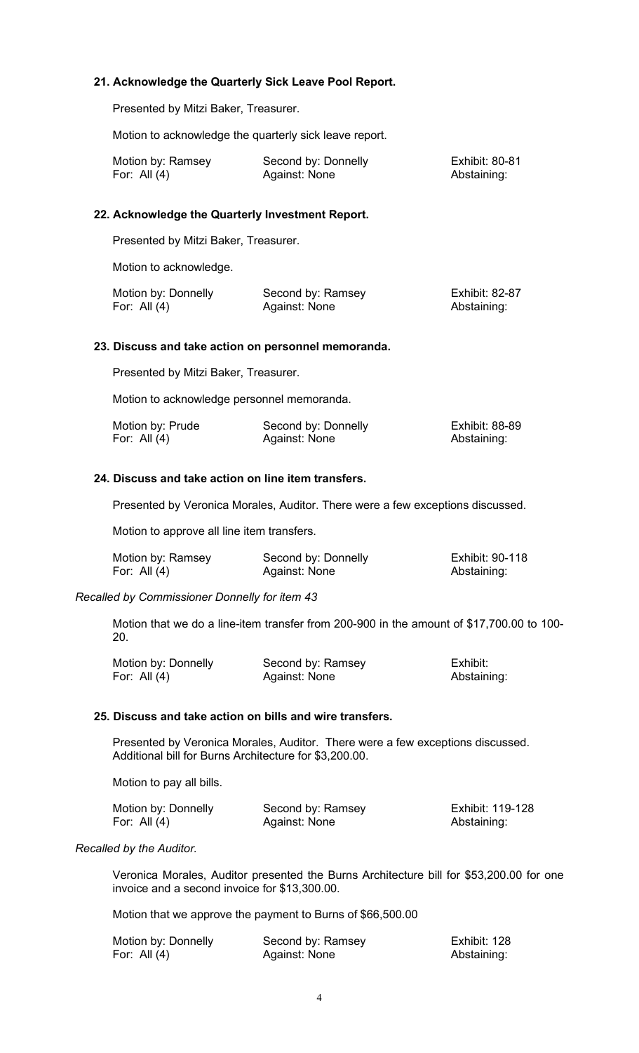# **21. Acknowledge the Quarterly Sick Leave Pool Report.**

Presented by Mitzi Baker, Treasurer.

Motion to acknowledge the quarterly sick leave report.

| Motion by: Ramsey | Second by: Donnelly | <b>Exhibit: 80-81</b> |
|-------------------|---------------------|-----------------------|
| For: All (4)      | Against: None       | Abstaining:           |

#### **22. Acknowledge the Quarterly Investment Report.**

Presented by Mitzi Baker, Treasurer.

Motion to acknowledge.

| Motion by: Donnelly | Second by: Ramsey | <b>Exhibit: 82-87</b> |
|---------------------|-------------------|-----------------------|
| For: All $(4)$      | Against: None     | Abstaining:           |

#### **23. Discuss and take action on personnel memoranda.**

Presented by Mitzi Baker, Treasurer.

Motion to acknowledge personnel memoranda.

| Motion by: Prude | Second by: Donnelly | <b>Exhibit: 88-89</b> |
|------------------|---------------------|-----------------------|
| For: All $(4)$   | Against: None       | Abstaining:           |

#### **24. Discuss and take action on line item transfers.**

Presented by Veronica Morales, Auditor. There were a few exceptions discussed.

Motion to approve all line item transfers.

| Motion by: Ramsey | Second by: Donnelly | Exhibit: 90-118 |
|-------------------|---------------------|-----------------|
| For: All $(4)$    | Against: None       | Abstaining:     |

## *Recalled by Commissioner Donnelly for item 43*

Motion that we do a line-item transfer from 200-900 in the amount of \$17,700.00 to 100- 20.

| Motion by: Donnelly | Second by: Ramsey | Exhibit:    |
|---------------------|-------------------|-------------|
| For: All $(4)$      | Against: None     | Abstaining: |

#### **25. Discuss and take action on bills and wire transfers.**

Presented by Veronica Morales, Auditor. There were a few exceptions discussed. Additional bill for Burns Architecture for \$3,200.00.

Motion to pay all bills.

| Motion by: Donnelly | Second by: Ramsey | Exhibit: 119-128 |
|---------------------|-------------------|------------------|
| For: All (4)        | Against: None     | Abstaining:      |

## *Recalled by the Auditor.*

Veronica Morales, Auditor presented the Burns Architecture bill for \$53,200.00 for one invoice and a second invoice for \$13,300.00.

Motion that we approve the payment to Burns of \$66,500.00

| Motion by: Donnelly | Second by: Ramsey | Exhibit: 128 |
|---------------------|-------------------|--------------|
| For: All $(4)$      | Against: None     | Abstaining:  |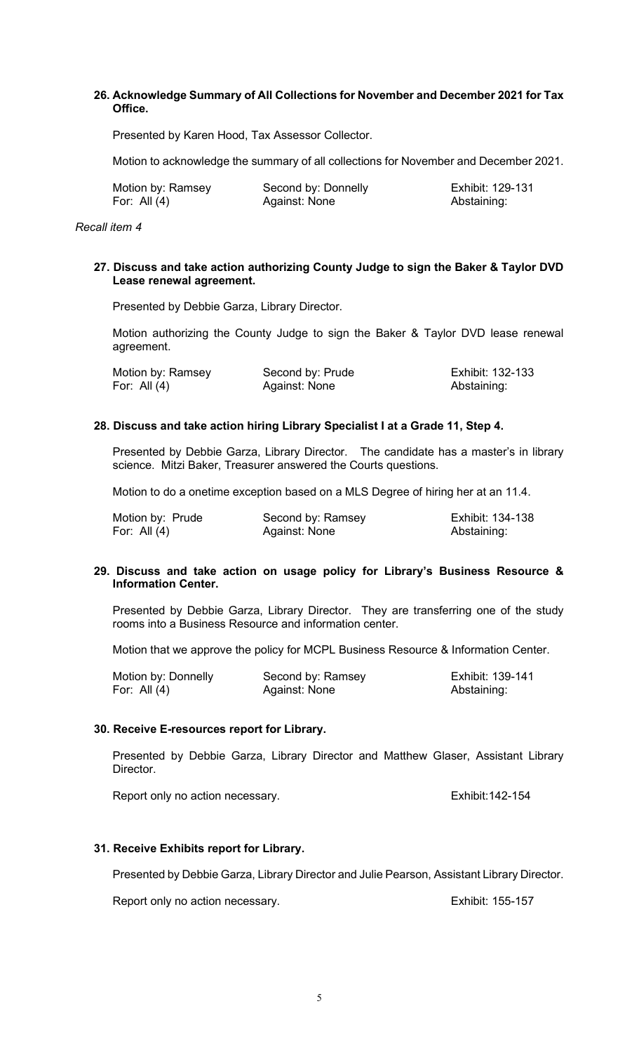# **26. Acknowledge Summary of All Collections for November and December 2021 for Tax Office.**

Presented by Karen Hood, Tax Assessor Collector.

Motion to acknowledge the summary of all collections for November and December 2021.

| Motion by: Ramsey | Second by: Donnelly | Exhibit: 129-131 |
|-------------------|---------------------|------------------|
| For: All $(4)$    | Against: None       | Abstaining:      |

*Recall item 4*

## **27. Discuss and take action authorizing County Judge to sign the Baker & Taylor DVD Lease renewal agreement.**

Presented by Debbie Garza, Library Director.

Motion authorizing the County Judge to sign the Baker & Taylor DVD lease renewal agreement.

| Motion by: Ramsey | Second by: Prude | Exhibit: 132-133 |
|-------------------|------------------|------------------|
| For: All $(4)$    | Against: None    | Abstaining:      |

# **28. Discuss and take action hiring Library Specialist I at a Grade 11, Step 4.**

Presented by Debbie Garza, Library Director. The candidate has a master's in library science. Mitzi Baker, Treasurer answered the Courts questions.

Motion to do a onetime exception based on a MLS Degree of hiring her at an 11.4.

| Motion by: Prude | Second by: Ramsey | Exhibit: 134-138 |
|------------------|-------------------|------------------|
| For: All $(4)$   | Against: None     | Abstaining:      |

#### **29. Discuss and take action on usage policy for Library's Business Resource & Information Center.**

Presented by Debbie Garza, Library Director. They are transferring one of the study rooms into a Business Resource and information center.

Motion that we approve the policy for MCPL Business Resource & Information Center.

| Motion by: Donnelly | Second by: Ramsey | Exhibit: 139-141 |
|---------------------|-------------------|------------------|
| For: All $(4)$      | Against: None     | Abstaining:      |

#### **30. Receive E-resources report for Library.**

Presented by Debbie Garza, Library Director and Matthew Glaser, Assistant Library Director.

Report only no action necessary. The contract only no action necessary.

# **31. Receive Exhibits report for Library.**

Presented by Debbie Garza, Library Director and Julie Pearson, Assistant Library Director.

Report only no action necessary. The state of the second series of the Exhibit: 155-157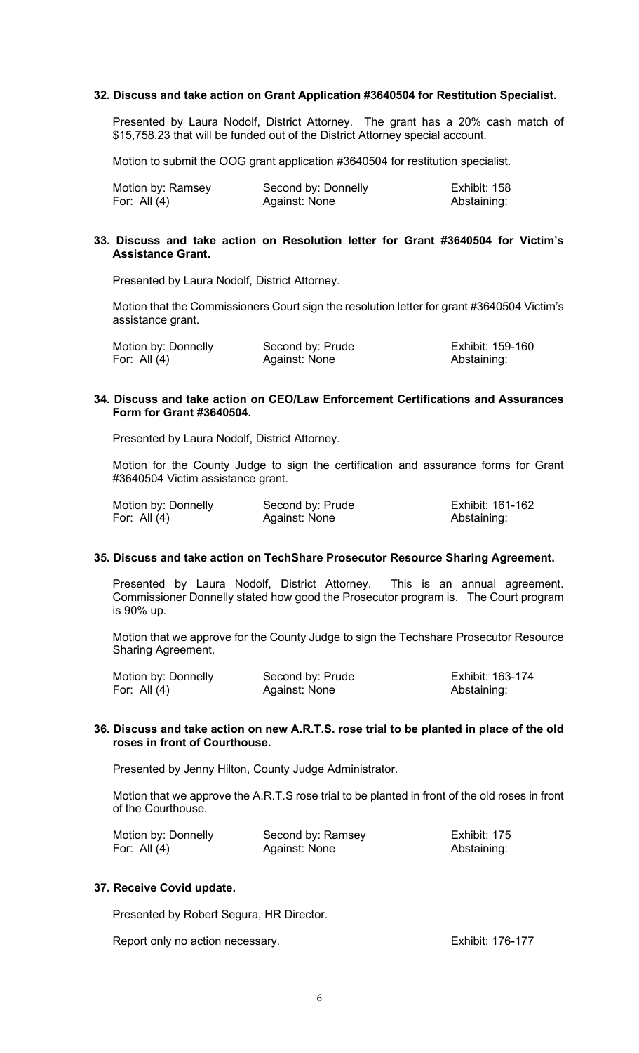## **32. Discuss and take action on Grant Application #3640504 for Restitution Specialist.**

Presented by Laura Nodolf, District Attorney. The grant has a 20% cash match of \$15,758.23 that will be funded out of the District Attorney special account.

Motion to submit the OOG grant application #3640504 for restitution specialist.

| Motion by: Ramsey | Second by: Donnelly | Exhibit: 158 |
|-------------------|---------------------|--------------|
| For: All (4)      | Against: None       | Abstaining:  |

#### **33. Discuss and take action on Resolution letter for Grant #3640504 for Victim's Assistance Grant.**

Presented by Laura Nodolf, District Attorney.

Motion that the Commissioners Court sign the resolution letter for grant #3640504 Victim's assistance grant.

| Motion by: Donnelly | Second by: Prude | Exhibit: 159-160 |
|---------------------|------------------|------------------|
| For: All $(4)$      | Against: None    | Abstaining:      |

## **34. Discuss and take action on CEO/Law Enforcement Certifications and Assurances Form for Grant #3640504.**

Presented by Laura Nodolf, District Attorney.

Motion for the County Judge to sign the certification and assurance forms for Grant #3640504 Victim assistance grant.

| Motion by: Donnelly | Second by: Prude | Exhibit: 161-162 |
|---------------------|------------------|------------------|
| For: All $(4)$      | Against: None    | Abstaining:      |

#### **35. Discuss and take action on TechShare Prosecutor Resource Sharing Agreement.**

Presented by Laura Nodolf, District Attorney. This is an annual agreement. Commissioner Donnelly stated how good the Prosecutor program is. The Court program is 90% up.

Motion that we approve for the County Judge to sign the Techshare Prosecutor Resource Sharing Agreement.

| Motion by: Donnelly | Second by: Prude | Exhibit: 163-174 |
|---------------------|------------------|------------------|
| For: All $(4)$      | Against: None    | Abstaining:      |

#### **36. Discuss and take action on new A.R.T.S. rose trial to be planted in place of the old roses in front of Courthouse.**

Presented by Jenny Hilton, County Judge Administrator.

Motion that we approve the A.R.T.S rose trial to be planted in front of the old roses in front of the Courthouse.

| Motion by: Donnelly | Second by: Ramsey | Exhibit: 175 |
|---------------------|-------------------|--------------|
| For: All $(4)$      | Against: None     | Abstaining:  |

## **37. Receive Covid update.**

Presented by Robert Segura, HR Director.

Report only no action necessary. The contract only no action necessary.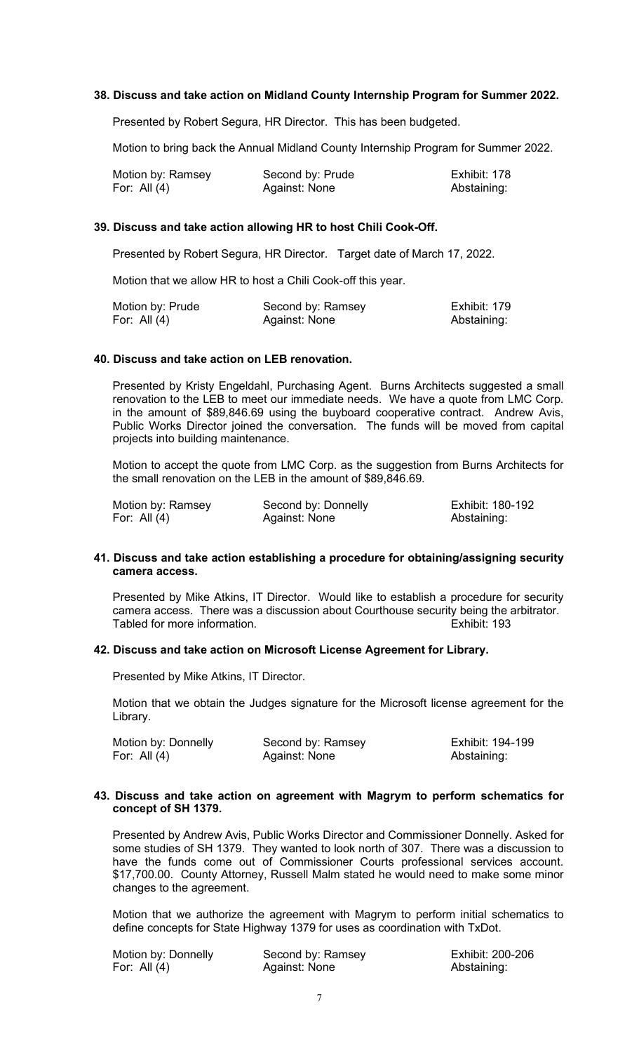## **38. Discuss and take action on Midland County Internship Program for Summer 2022.**

Presented by Robert Segura, HR Director. This has been budgeted.

Motion to bring back the Annual Midland County Internship Program for Summer 2022.

| Motion by: Ramsey | Second by: Prude | Exhibit: 178 |
|-------------------|------------------|--------------|
| For: All $(4)$    | Against: None    | Abstaining:  |

## **39. Discuss and take action allowing HR to host Chili Cook-Off.**

Presented by Robert Segura, HR Director. Target date of March 17, 2022.

Motion that we allow HR to host a Chili Cook-off this year.

| Motion by: Prude | Second by: Ramsey | Exhibit: 179 |
|------------------|-------------------|--------------|
| For: All $(4)$   | Against: None     | Abstaining:  |

#### **40. Discuss and take action on LEB renovation.**

Presented by Kristy Engeldahl, Purchasing Agent. Burns Architects suggested a small renovation to the LEB to meet our immediate needs. We have a quote from LMC Corp. in the amount of \$89,846.69 using the buyboard cooperative contract. Andrew Avis, Public Works Director joined the conversation. The funds will be moved from capital projects into building maintenance.

Motion to accept the quote from LMC Corp. as the suggestion from Burns Architects for the small renovation on the LEB in the amount of \$89,846.69.

| Motion by: Ramsey | Second by: Donnelly | Exhibit: 180-192 |
|-------------------|---------------------|------------------|
| For: All $(4)$    | Against: None       | Abstaining:      |

#### **41. Discuss and take action establishing a procedure for obtaining/assigning security camera access.**

Presented by Mike Atkins, IT Director. Would like to establish a procedure for security camera access. There was a discussion about Courthouse security being the arbitrator.<br>Tabled for more information Tabled for more information

#### **42. Discuss and take action on Microsoft License Agreement for Library.**

Presented by Mike Atkins, IT Director.

Motion that we obtain the Judges signature for the Microsoft license agreement for the Library.

| Motion by: Donnelly | Second by: Ramsey | Exhibit: 194-199 |
|---------------------|-------------------|------------------|
| For: All $(4)$      | Against: None     | Abstaining:      |

#### **43. Discuss and take action on agreement with Magrym to perform schematics for concept of SH 1379.**

Presented by Andrew Avis, Public Works Director and Commissioner Donnelly. Asked for some studies of SH 1379. They wanted to look north of 307. There was a discussion to have the funds come out of Commissioner Courts professional services account. \$17,700.00. County Attorney, Russell Malm stated he would need to make some minor changes to the agreement.

Motion that we authorize the agreement with Magrym to perform initial schematics to define concepts for State Highway 1379 for uses as coordination with TxDot.

| Motion by: Donnelly | Second by: Ramsey | Exhibit: 200-206 |
|---------------------|-------------------|------------------|
| For: All $(4)$      | Against: None     | Abstaining:      |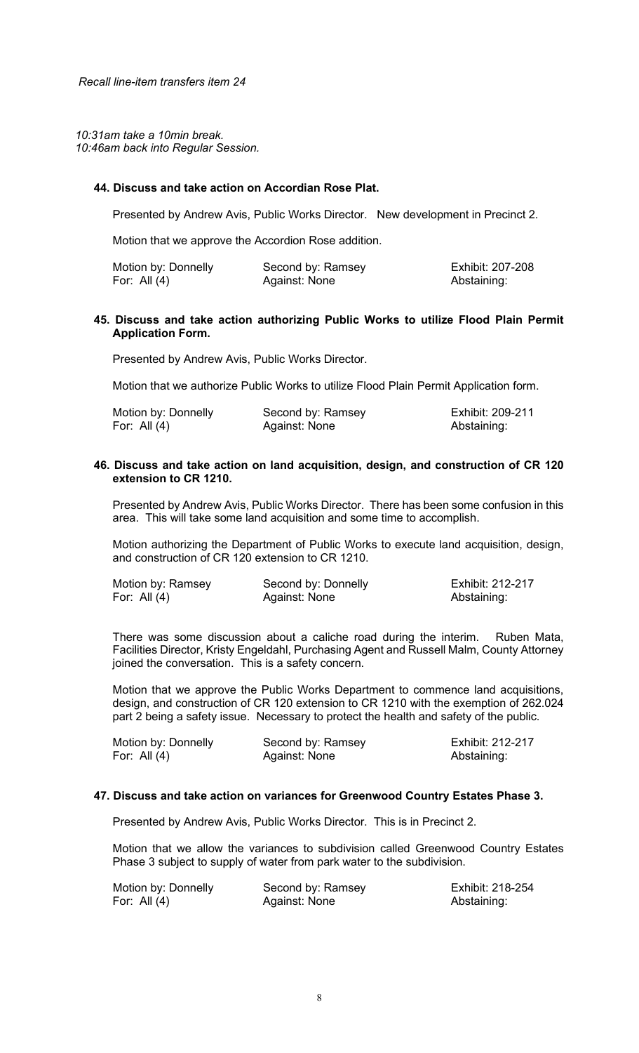*10:31am take a 10min break. 10:46am back into Regular Session.*

## **44. Discuss and take action on Accordian Rose Plat.**

Presented by Andrew Avis, Public Works Director. New development in Precinct 2.

Motion that we approve the Accordion Rose addition.

| Motion by: Donnelly | Second by: Ramsey | Exhibit: 207-208 |
|---------------------|-------------------|------------------|
| For: All $(4)$      | Against: None     | Abstaining:      |

## **45. Discuss and take action authorizing Public Works to utilize Flood Plain Permit Application Form.**

Presented by Andrew Avis, Public Works Director.

Motion that we authorize Public Works to utilize Flood Plain Permit Application form.

| Motion by: Donnelly | Second by: Ramsey | Exhibit: 209-211 |
|---------------------|-------------------|------------------|
| For: All $(4)$      | Against: None     | Abstaining:      |

## **46. Discuss and take action on land acquisition, design, and construction of CR 120 extension to CR 1210.**

Presented by Andrew Avis, Public Works Director. There has been some confusion in this area. This will take some land acquisition and some time to accomplish.

Motion authorizing the Department of Public Works to execute land acquisition, design, and construction of CR 120 extension to CR 1210.

| Motion by: Ramsey | Second by: Donnelly | Exhibit: 212-217 |
|-------------------|---------------------|------------------|
| For: All $(4)$    | Against: None       | Abstaining:      |

There was some discussion about a caliche road during the interim. Ruben Mata, Facilities Director, Kristy Engeldahl, Purchasing Agent and Russell Malm, County Attorney joined the conversation. This is a safety concern.

Motion that we approve the Public Works Department to commence land acquisitions, design, and construction of CR 120 extension to CR 1210 with the exemption of 262.024 part 2 being a safety issue. Necessary to protect the health and safety of the public.

| Motion by: Donnelly | Second by: Ramsey | Exhibit: 212-217 |
|---------------------|-------------------|------------------|
| For: All $(4)$      | Against: None     | Abstaining:      |

#### **47. Discuss and take action on variances for Greenwood Country Estates Phase 3.**

Presented by Andrew Avis, Public Works Director. This is in Precinct 2.

Motion that we allow the variances to subdivision called Greenwood Country Estates Phase 3 subject to supply of water from park water to the subdivision.

| Motion by: Donnelly | Second by: Ramsey | Exhibit: 218-254 |
|---------------------|-------------------|------------------|
| For: All $(4)$      | Against: None     | Abstaining:      |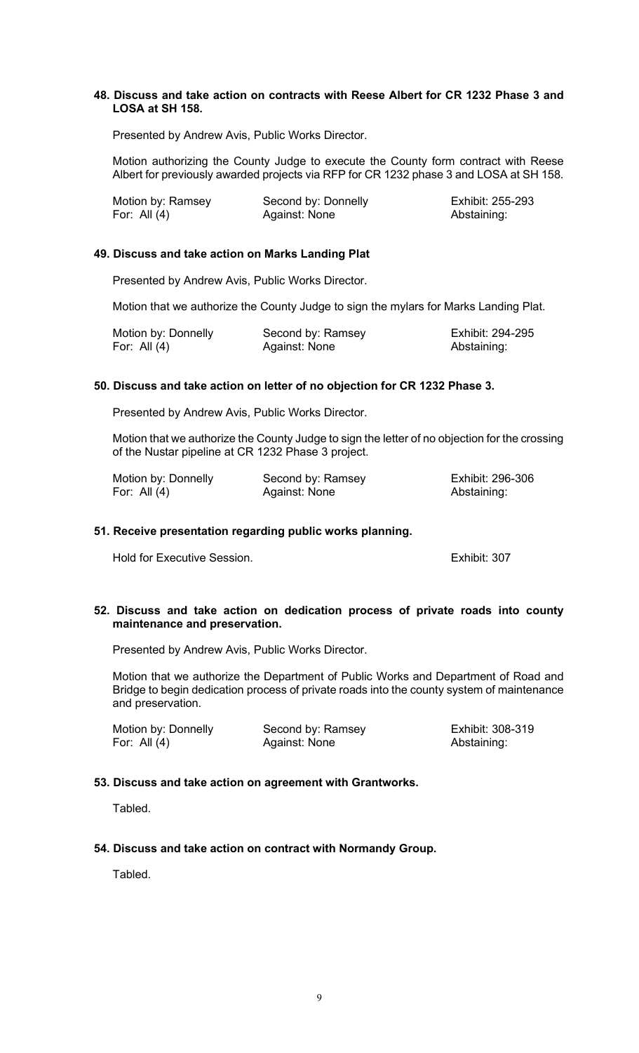## **48. Discuss and take action on contracts with Reese Albert for CR 1232 Phase 3 and LOSA at SH 158.**

Presented by Andrew Avis, Public Works Director.

Motion authorizing the County Judge to execute the County form contract with Reese Albert for previously awarded projects via RFP for CR 1232 phase 3 and LOSA at SH 158.

| Motion by: Ramsey | Second by: Donnelly | Exhibit: 255-293 |
|-------------------|---------------------|------------------|
| For: All $(4)$    | Against: None       | Abstaining:      |

## **49. Discuss and take action on Marks Landing Plat**

Presented by Andrew Avis, Public Works Director.

Motion that we authorize the County Judge to sign the mylars for Marks Landing Plat.

| Motion by: Donnelly | Second by: Ramsey | Exhibit: 294-295 |
|---------------------|-------------------|------------------|
| For: All $(4)$      | Against: None     | Abstaining:      |

# **50. Discuss and take action on letter of no objection for CR 1232 Phase 3.**

Presented by Andrew Avis, Public Works Director.

Motion that we authorize the County Judge to sign the letter of no objection for the crossing of the Nustar pipeline at CR 1232 Phase 3 project.

| Motion by: Donnelly | Second by: Ramsey | Exhibit: 296-306 |
|---------------------|-------------------|------------------|
| For: All $(4)$      | Against: None     | Abstaining:      |

## **51. Receive presentation regarding public works planning.**

Hold for Executive Session. Exhibit: 307

#### **52. Discuss and take action on dedication process of private roads into county maintenance and preservation.**

Presented by Andrew Avis, Public Works Director.

Motion that we authorize the Department of Public Works and Department of Road and Bridge to begin dedication process of private roads into the county system of maintenance and preservation.

| Motion by: Donnelly | Second by: Ramsey | Exhibit: 308-319 |
|---------------------|-------------------|------------------|
| For: All $(4)$      | Against: None     | Abstaining:      |

# **53. Discuss and take action on agreement with Grantworks.**

Tabled.

# **54. Discuss and take action on contract with Normandy Group.**

Tabled.